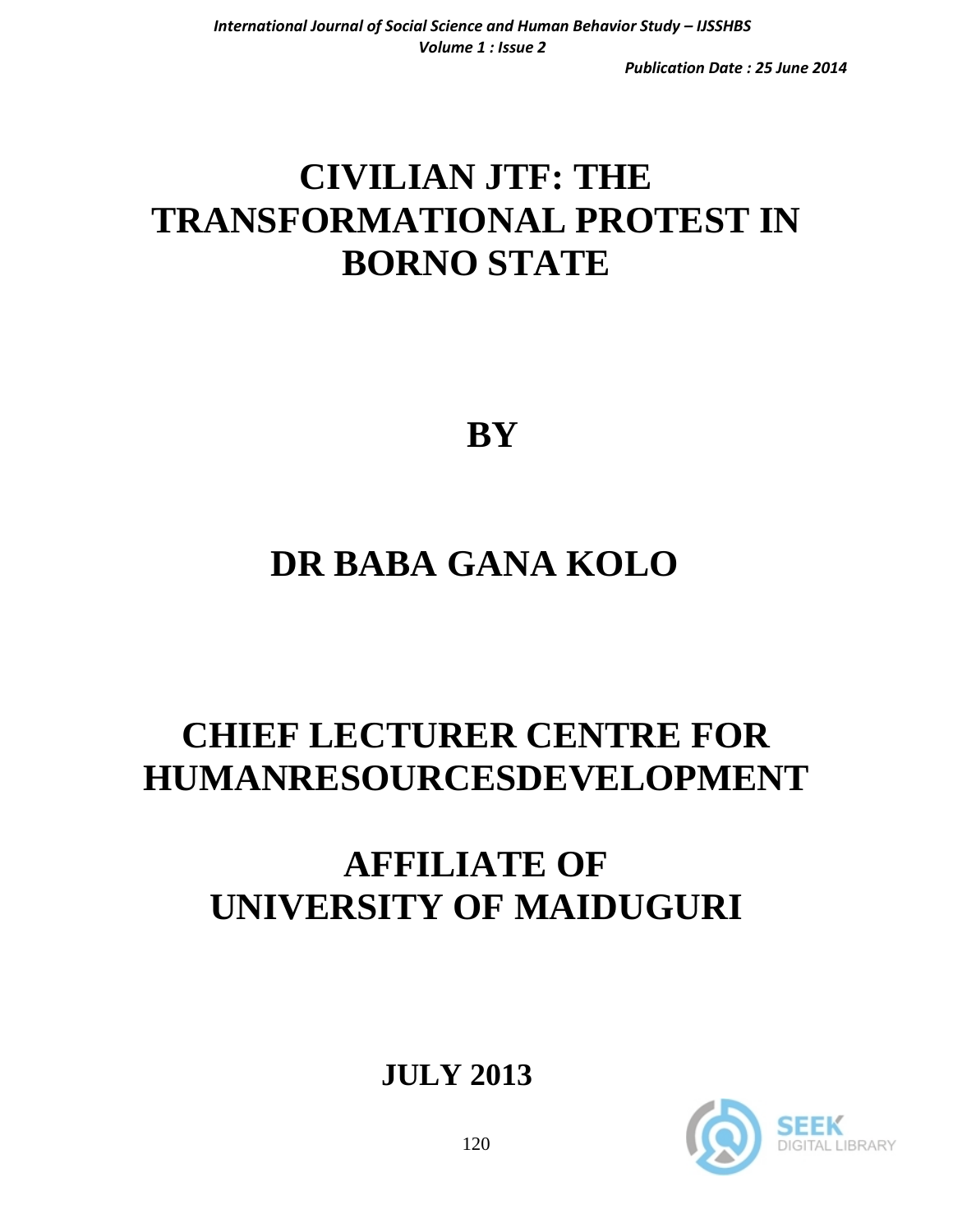*Publication Date : 25 June 2014*

# **CIVILIAN JTF: THE TRANSFORMATIONAL PROTEST IN BORNO STATE**

 **BY**

### **DR BABA GANA KOLO**

# **CHIEF LECTURER CENTRE FOR HUMANRESOURCESDEVELOPMENT**

### **AFFILIATE OF UNIVERSITY OF MAIDUGURI**

 **JULY 2013** 

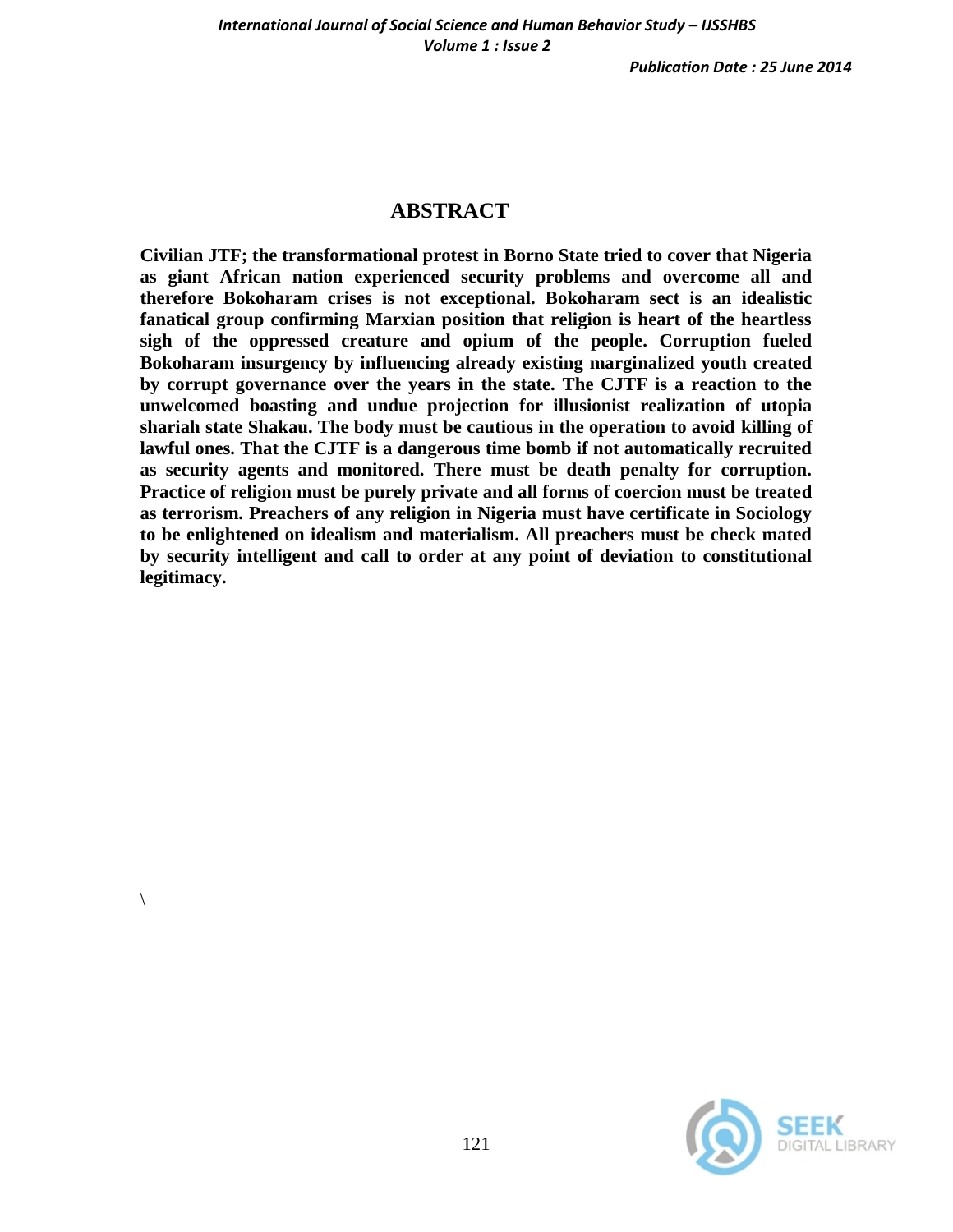*Publication Date : 25 June 2014*

### **ABSTRACT**

**Civilian JTF; the transformational protest in Borno State tried to cover that Nigeria as giant African nation experienced security problems and overcome all and therefore Bokoharam crises is not exceptional. Bokoharam sect is an idealistic fanatical group confirming Marxian position that religion is heart of the heartless sigh of the oppressed creature and opium of the people. Corruption fueled Bokoharam insurgency by influencing already existing marginalized youth created by corrupt governance over the years in the state. The CJTF is a reaction to the unwelcomed boasting and undue projection for illusionist realization of utopia shariah state Shakau. The body must be cautious in the operation to avoid killing of lawful ones. That the CJTF is a dangerous time bomb if not automatically recruited as security agents and monitored. There must be death penalty for corruption. Practice of religion must be purely private and all forms of coercion must be treated as terrorism. Preachers of any religion in Nigeria must have certificate in Sociology to be enlightened on idealism and materialism. All preachers must be check mated by security intelligent and call to order at any point of deviation to constitutional legitimacy.** 



 $\setminus$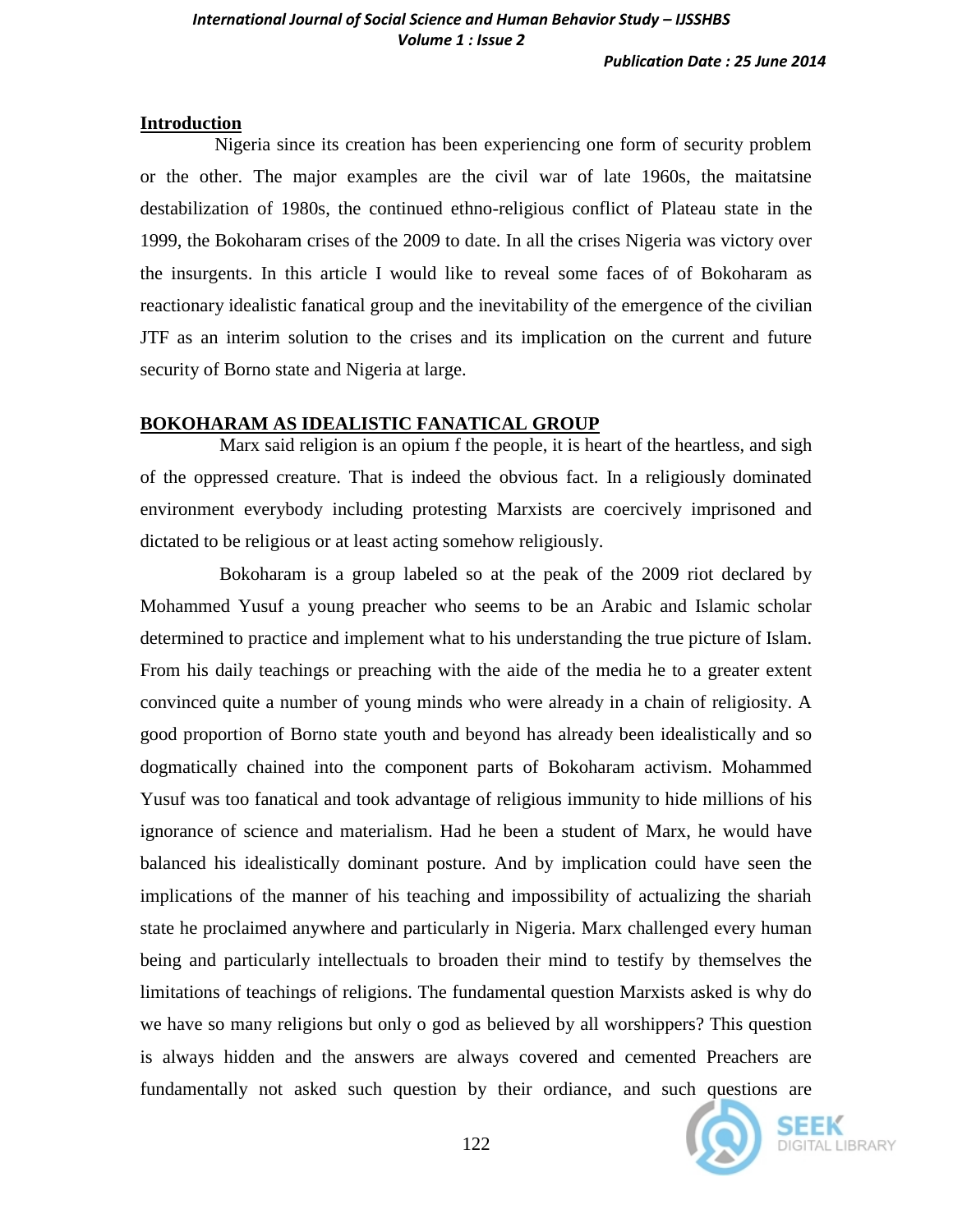#### **Introduction**

 Nigeria since its creation has been experiencing one form of security problem or the other. The major examples are the civil war of late 1960s, the maitatsine destabilization of 1980s, the continued ethno-religious conflict of Plateau state in the 1999, the Bokoharam crises of the 2009 to date. In all the crises Nigeria was victory over the insurgents. In this article I would like to reveal some faces of of Bokoharam as reactionary idealistic fanatical group and the inevitability of the emergence of the civilian JTF as an interim solution to the crises and its implication on the current and future security of Borno state and Nigeria at large.

#### **BOKOHARAM AS IDEALISTIC FANATICAL GROUP**

 Marx said religion is an opium f the people, it is heart of the heartless, and sigh of the oppressed creature. That is indeed the obvious fact. In a religiously dominated environment everybody including protesting Marxists are coercively imprisoned and dictated to be religious or at least acting somehow religiously.

 Bokoharam is a group labeled so at the peak of the 2009 riot declared by Mohammed Yusuf a young preacher who seems to be an Arabic and Islamic scholar determined to practice and implement what to his understanding the true picture of Islam. From his daily teachings or preaching with the aide of the media he to a greater extent convinced quite a number of young minds who were already in a chain of religiosity. A good proportion of Borno state youth and beyond has already been idealistically and so dogmatically chained into the component parts of Bokoharam activism. Mohammed Yusuf was too fanatical and took advantage of religious immunity to hide millions of his ignorance of science and materialism. Had he been a student of Marx, he would have balanced his idealistically dominant posture. And by implication could have seen the implications of the manner of his teaching and impossibility of actualizing the shariah state he proclaimed anywhere and particularly in Nigeria. Marx challenged every human being and particularly intellectuals to broaden their mind to testify by themselves the limitations of teachings of religions. The fundamental question Marxists asked is why do we have so many religions but only o god as believed by all worshippers? This question is always hidden and the answers are always covered and cemented Preachers are fundamentally not asked such question by their ordiance, and such questions are

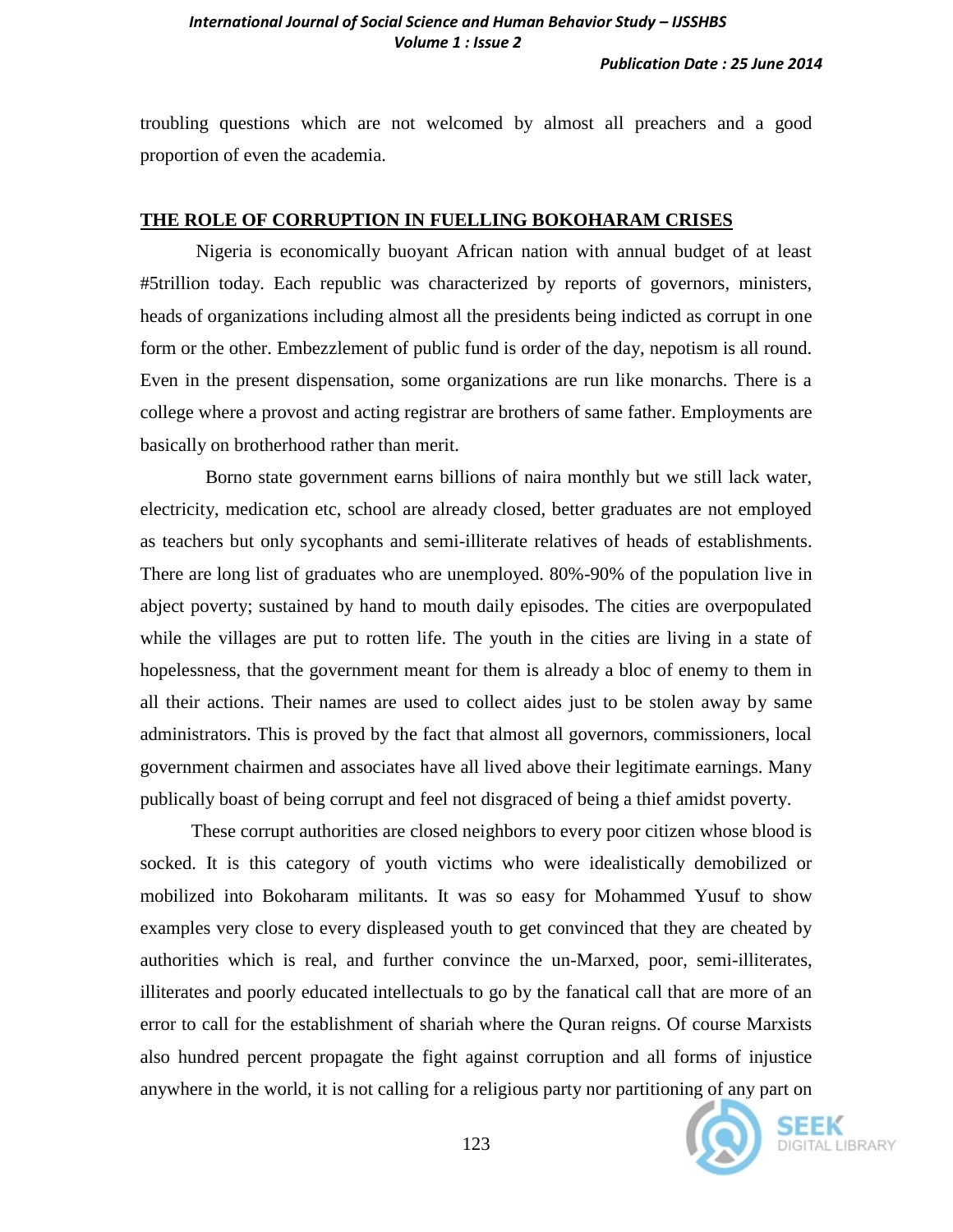troubling questions which are not welcomed by almost all preachers and a good proportion of even the academia.

#### **THE ROLE OF CORRUPTION IN FUELLING BOKOHARAM CRISES**

Nigeria is economically buoyant African nation with annual budget of at least #5trillion today. Each republic was characterized by reports of governors, ministers, heads of organizations including almost all the presidents being indicted as corrupt in one form or the other. Embezzlement of public fund is order of the day, nepotism is all round. Even in the present dispensation, some organizations are run like monarchs. There is a college where a provost and acting registrar are brothers of same father. Employments are basically on brotherhood rather than merit.

 Borno state government earns billions of naira monthly but we still lack water, electricity, medication etc, school are already closed, better graduates are not employed as teachers but only sycophants and semi-illiterate relatives of heads of establishments. There are long list of graduates who are unemployed. 80%-90% of the population live in abject poverty; sustained by hand to mouth daily episodes. The cities are overpopulated while the villages are put to rotten life. The youth in the cities are living in a state of hopelessness, that the government meant for them is already a bloc of enemy to them in all their actions. Their names are used to collect aides just to be stolen away by same administrators. This is proved by the fact that almost all governors, commissioners, local government chairmen and associates have all lived above their legitimate earnings. Many publically boast of being corrupt and feel not disgraced of being a thief amidst poverty.

 These corrupt authorities are closed neighbors to every poor citizen whose blood is socked. It is this category of youth victims who were idealistically demobilized or mobilized into Bokoharam militants. It was so easy for Mohammed Yusuf to show examples very close to every displeased youth to get convinced that they are cheated by authorities which is real, and further convince the un-Marxed, poor, semi-illiterates, illiterates and poorly educated intellectuals to go by the fanatical call that are more of an error to call for the establishment of shariah where the Quran reigns. Of course Marxists also hundred percent propagate the fight against corruption and all forms of injustice anywhere in the world, it is not calling for a religious party nor partitioning of any part on

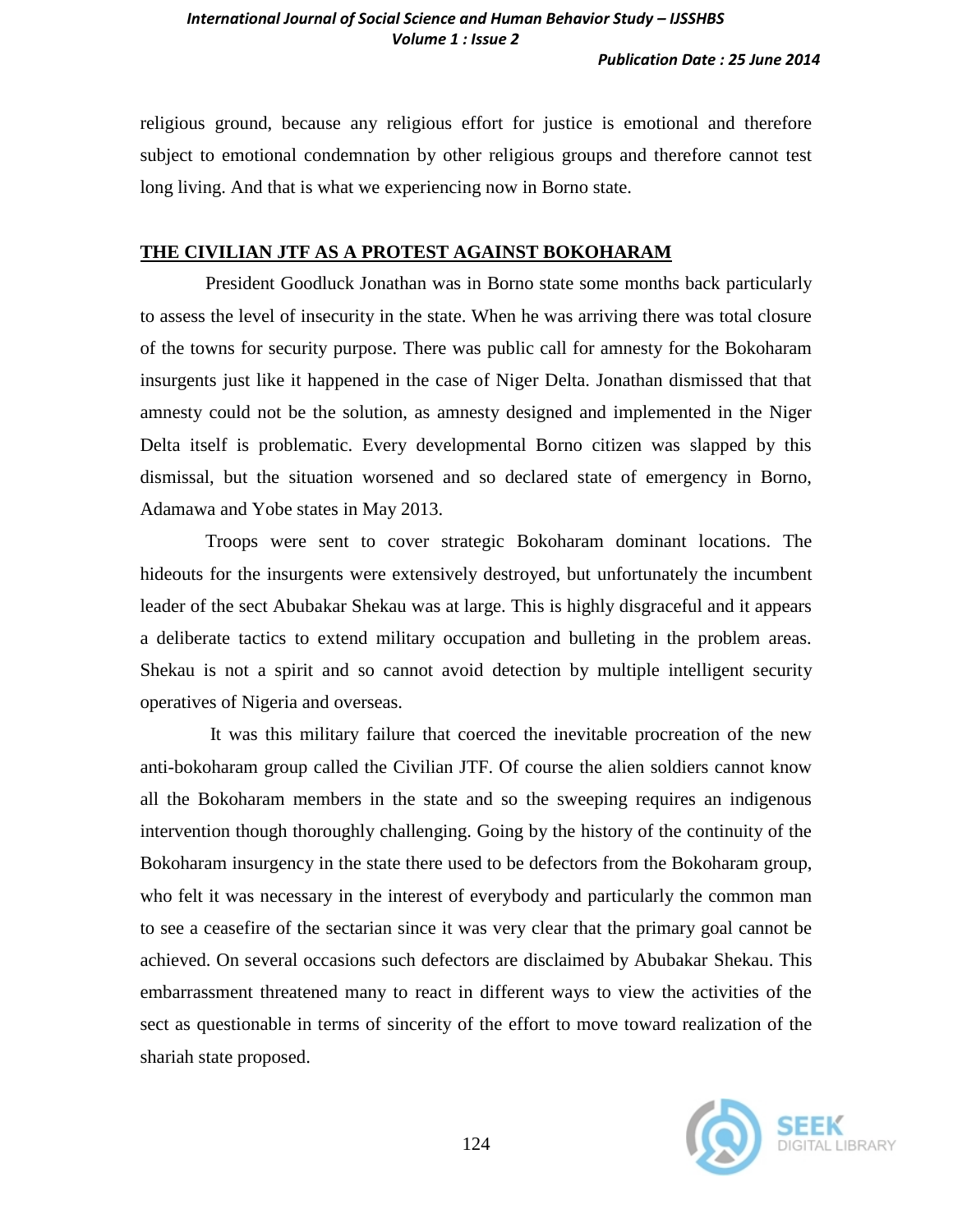religious ground, because any religious effort for justice is emotional and therefore subject to emotional condemnation by other religious groups and therefore cannot test long living. And that is what we experiencing now in Borno state.

#### **THE CIVILIAN JTF AS A PROTEST AGAINST BOKOHARAM**

 President Goodluck Jonathan was in Borno state some months back particularly to assess the level of insecurity in the state. When he was arriving there was total closure of the towns for security purpose. There was public call for amnesty for the Bokoharam insurgents just like it happened in the case of Niger Delta. Jonathan dismissed that that amnesty could not be the solution, as amnesty designed and implemented in the Niger Delta itself is problematic. Every developmental Borno citizen was slapped by this dismissal, but the situation worsened and so declared state of emergency in Borno, Adamawa and Yobe states in May 2013.

 Troops were sent to cover strategic Bokoharam dominant locations. The hideouts for the insurgents were extensively destroyed, but unfortunately the incumbent leader of the sect Abubakar Shekau was at large. This is highly disgraceful and it appears a deliberate tactics to extend military occupation and bulleting in the problem areas. Shekau is not a spirit and so cannot avoid detection by multiple intelligent security operatives of Nigeria and overseas.

 It was this military failure that coerced the inevitable procreation of the new anti-bokoharam group called the Civilian JTF. Of course the alien soldiers cannot know all the Bokoharam members in the state and so the sweeping requires an indigenous intervention though thoroughly challenging. Going by the history of the continuity of the Bokoharam insurgency in the state there used to be defectors from the Bokoharam group, who felt it was necessary in the interest of everybody and particularly the common man to see a ceasefire of the sectarian since it was very clear that the primary goal cannot be achieved. On several occasions such defectors are disclaimed by Abubakar Shekau. This embarrassment threatened many to react in different ways to view the activities of the sect as questionable in terms of sincerity of the effort to move toward realization of the shariah state proposed.

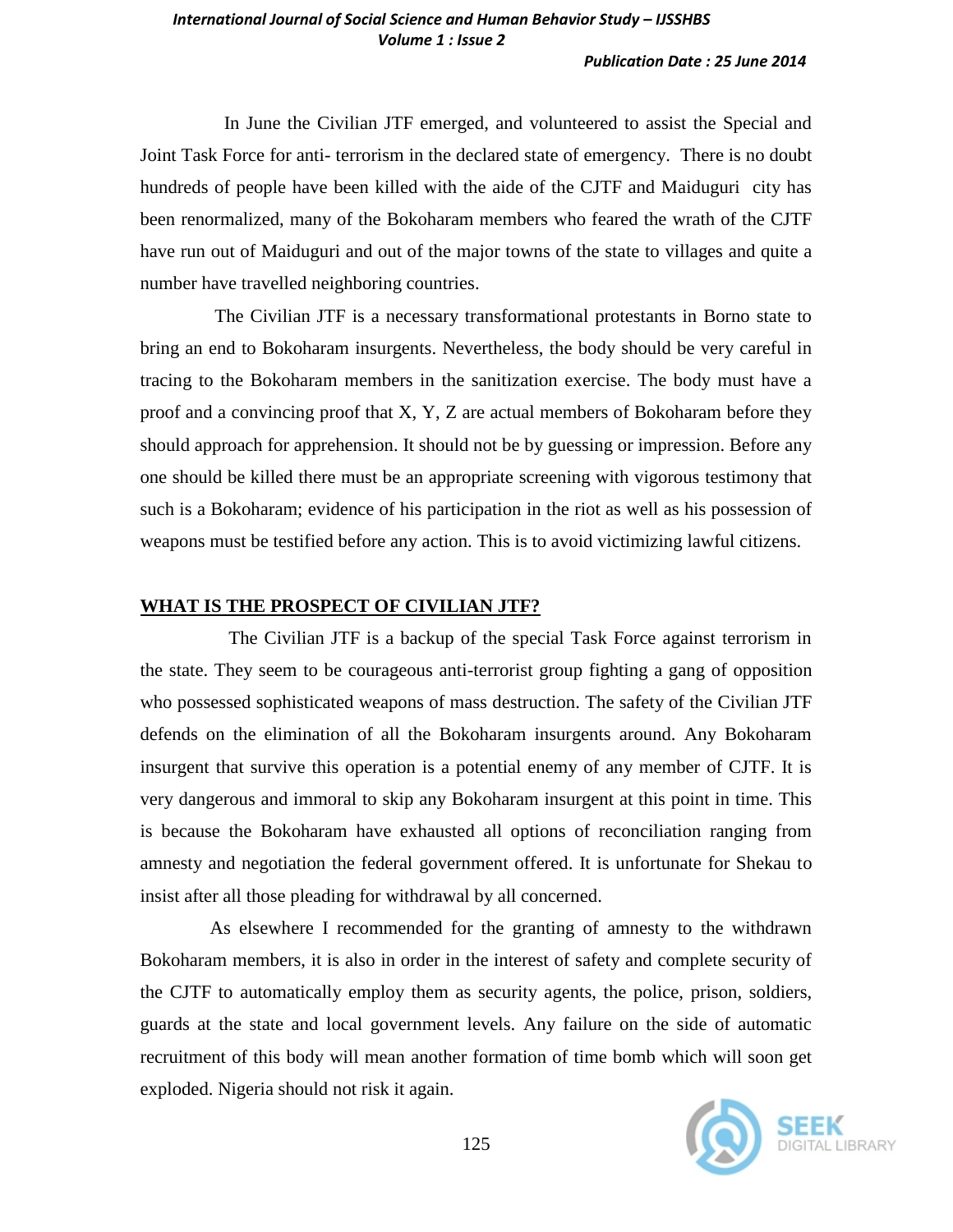#### *International Journal of Social Science and Human Behavior Study – IJSSHBS Volume 1 : Issue 2*

#### *Publication Date : 25 June 2014*

 In June the Civilian JTF emerged, and volunteered to assist the Special and Joint Task Force for anti- terrorism in the declared state of emergency. There is no doubt hundreds of people have been killed with the aide of the CJTF and Maiduguri city has been renormalized, many of the Bokoharam members who feared the wrath of the CJTF have run out of Maiduguri and out of the major towns of the state to villages and quite a number have travelled neighboring countries.

 The Civilian JTF is a necessary transformational protestants in Borno state to bring an end to Bokoharam insurgents. Nevertheless, the body should be very careful in tracing to the Bokoharam members in the sanitization exercise. The body must have a proof and a convincing proof that X, Y, Z are actual members of Bokoharam before they should approach for apprehension. It should not be by guessing or impression. Before any one should be killed there must be an appropriate screening with vigorous testimony that such is a Bokoharam; evidence of his participation in the riot as well as his possession of weapons must be testified before any action. This is to avoid victimizing lawful citizens.

#### **WHAT IS THE PROSPECT OF CIVILIAN JTF?**

 The Civilian JTF is a backup of the special Task Force against terrorism in the state. They seem to be courageous anti-terrorist group fighting a gang of opposition who possessed sophisticated weapons of mass destruction. The safety of the Civilian JTF defends on the elimination of all the Bokoharam insurgents around. Any Bokoharam insurgent that survive this operation is a potential enemy of any member of CJTF. It is very dangerous and immoral to skip any Bokoharam insurgent at this point in time. This is because the Bokoharam have exhausted all options of reconciliation ranging from amnesty and negotiation the federal government offered. It is unfortunate for Shekau to insist after all those pleading for withdrawal by all concerned.

 As elsewhere I recommended for the granting of amnesty to the withdrawn Bokoharam members, it is also in order in the interest of safety and complete security of the CJTF to automatically employ them as security agents, the police, prison, soldiers, guards at the state and local government levels. Any failure on the side of automatic recruitment of this body will mean another formation of time bomb which will soon get exploded. Nigeria should not risk it again.